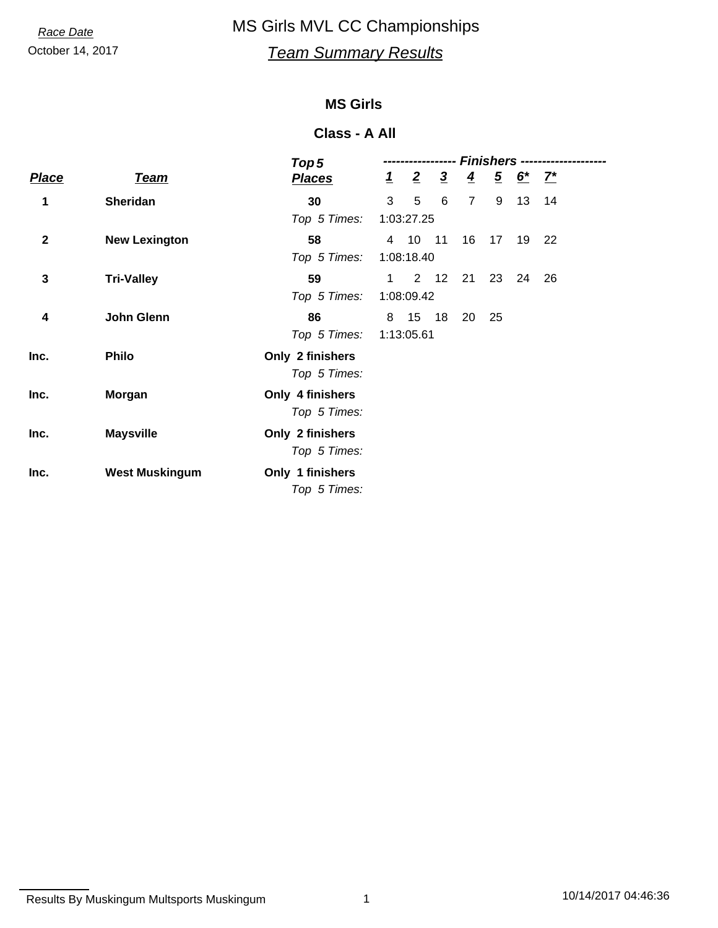## October 14, 2017 *Team Summary Results* **Race Date** MS Girls MVL CC Championships

## **MS Girls**

### **Class - A All**

|              |                       | Top <sub>5</sub> | Finishers --   |                |                |                |    |                                          |    |  |
|--------------|-----------------------|------------------|----------------|----------------|----------------|----------------|----|------------------------------------------|----|--|
| <b>Place</b> | <u>Team</u>           | <b>Places</b>    | $\overline{1}$ | $\overline{2}$ | $\overline{3}$ | $\overline{4}$ |    | $\frac{5}{2}$ <u>6<sup>*</sup></u> $7^*$ |    |  |
| 1            | <b>Sheridan</b>       | 30               | 3              | 5              | 6              | $\overline{7}$ | 9  | 13                                       | 14 |  |
|              |                       | Top 5 Times:     | 1:03:27.25     |                |                |                |    |                                          |    |  |
| $\mathbf{2}$ | <b>New Lexington</b>  | 58               |                | 4 10 11        |                | 16             | 17 | 19                                       | 22 |  |
|              |                       | Top 5 Times:     | 1:08:18.40     |                |                |                |    |                                          |    |  |
| 3            | <b>Tri-Valley</b>     | 59               | $\mathbf 1$    | $2^{\circ}$    | 12             | 21             | 23 | 24                                       | 26 |  |
|              |                       | Top 5 Times:     | 1:08:09.42     |                |                |                |    |                                          |    |  |
| 4            | John Glenn            | 86               | 8              | 15             | 18             | 20             | 25 |                                          |    |  |
|              |                       | Top 5 Times:     | 1:13:05.61     |                |                |                |    |                                          |    |  |
| Inc.         | <b>Philo</b>          | Only 2 finishers |                |                |                |                |    |                                          |    |  |
|              |                       | Top 5 Times:     |                |                |                |                |    |                                          |    |  |
| Inc.         | <b>Morgan</b>         | Only 4 finishers |                |                |                |                |    |                                          |    |  |
|              |                       | Top 5 Times:     |                |                |                |                |    |                                          |    |  |
| Inc.         | <b>Maysville</b>      | Only 2 finishers |                |                |                |                |    |                                          |    |  |
|              |                       | Top 5 Times:     |                |                |                |                |    |                                          |    |  |
| Inc.         | <b>West Muskingum</b> | Only 1 finishers |                |                |                |                |    |                                          |    |  |
|              |                       | Top 5 Times:     |                |                |                |                |    |                                          |    |  |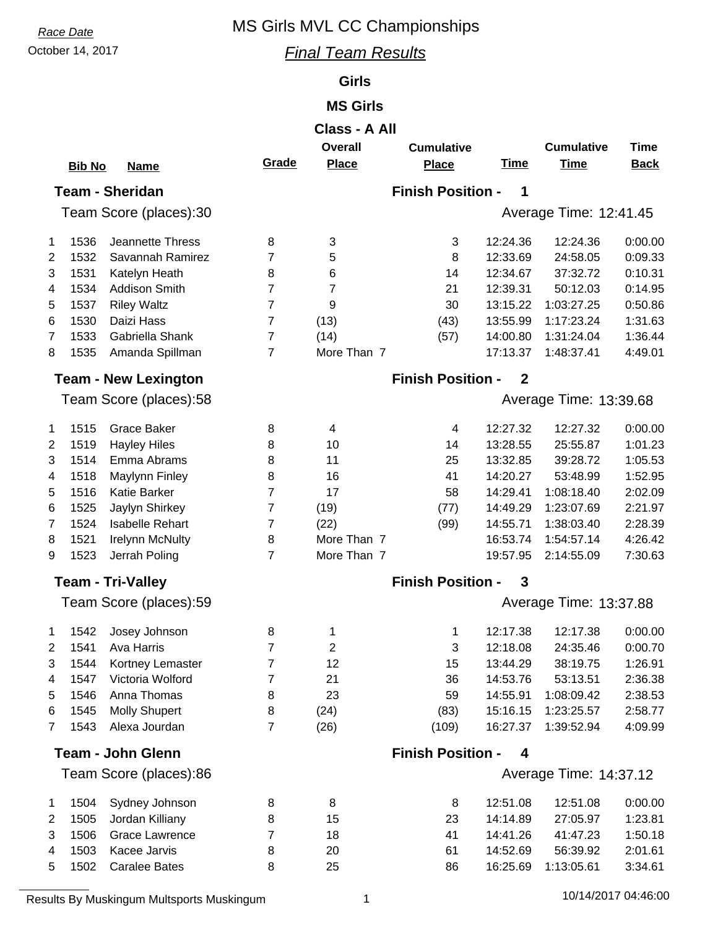## **Race Date** MS Girls MVL CC Championships

## October 14, 2017 *Final Team Results*

## **Girls**

## **MS Girls**

| Class - A All            |               |                             |                          |                |                          |              |                        |             |  |
|--------------------------|---------------|-----------------------------|--------------------------|----------------|--------------------------|--------------|------------------------|-------------|--|
|                          |               |                             |                          | <b>Overall</b> | <b>Cumulative</b>        |              | <b>Cumulative</b>      | <b>Time</b> |  |
|                          | <b>Bib No</b> | <b>Name</b>                 | Grade                    | <b>Place</b>   | <b>Place</b>             | <b>Time</b>  | <b>Time</b>            | <b>Back</b> |  |
|                          |               | <b>Team - Sheridan</b>      |                          |                | <b>Finish Position -</b> | 1            |                        |             |  |
|                          |               | Team Score (places):30      |                          |                |                          |              | Average Time: 12:41.45 |             |  |
|                          |               |                             |                          |                |                          |              |                        |             |  |
| 1                        | 1536          | Jeannette Thress            | 8                        | 3              | 3                        | 12:24.36     | 12:24.36               | 0:00.00     |  |
| 2                        | 1532          | Savannah Ramirez            | 7                        | 5              | 8                        | 12:33.69     | 24:58.05               | 0:09.33     |  |
| 3                        | 1531          | Katelyn Heath               | 8                        | 6              | 14                       | 12:34.67     | 37:32.72               | 0:10.31     |  |
| 4                        | 1534          | <b>Addison Smith</b>        | $\overline{7}$           | 7              | 21                       | 12:39.31     | 50:12.03               | 0:14.95     |  |
| 5                        | 1537          | <b>Riley Waltz</b>          | 7                        | 9              | 30                       | 13:15.22     | 1:03:27.25             | 0:50.86     |  |
| 6                        | 1530          | Daizi Hass                  | 7                        | (13)           | (43)                     | 13:55.99     | 1:17:23.24             | 1:31.63     |  |
| 7                        | 1533          | Gabriella Shank             | $\overline{7}$           | (14)           | (57)                     | 14:00.80     | 1:31:24.04             | 1:36.44     |  |
| 8                        | 1535          | Amanda Spillman             | $\overline{7}$           | More Than 7    |                          | 17:13.37     | 1:48:37.41             | 4:49.01     |  |
|                          |               | <b>Team - New Lexington</b> |                          |                | <b>Finish Position -</b> | $\mathbf{2}$ |                        |             |  |
|                          |               | Team Score (places):58      |                          |                |                          |              | Average Time: 13:39.68 |             |  |
|                          |               |                             |                          |                |                          |              |                        |             |  |
| 1                        | 1515          | <b>Grace Baker</b>          | 8                        | 4              | $\overline{\mathbf{4}}$  | 12:27.32     | 12:27.32               | 0:00.00     |  |
| $\overline{2}$           | 1519          | <b>Hayley Hiles</b>         | 8                        | 10             | 14                       | 13:28.55     | 25:55.87               | 1:01.23     |  |
| 3                        | 1514          | Emma Abrams                 | 8                        | 11             | 25                       | 13:32.85     | 39:28.72               | 1:05.53     |  |
| 4                        | 1518          | Maylynn Finley              | 8                        | 16             | 41                       | 14:20.27     | 53:48.99               | 1:52.95     |  |
| 5                        | 1516          | Katie Barker                | $\overline{7}$           | 17             | 58                       | 14:29.41     | 1:08:18.40             | 2:02.09     |  |
| 6                        | 1525          | Jaylyn Shirkey              | 7                        | (19)           | (77)                     | 14:49.29     | 1:23:07.69             | 2:21.97     |  |
| 7                        | 1524          | <b>Isabelle Rehart</b>      | 7                        | (22)           | (99)                     | 14:55.71     | 1:38:03.40             | 2:28.39     |  |
| 8                        | 1521          | <b>Irelynn McNulty</b>      | 8                        | More Than 7    |                          | 16:53.74     | 1:54:57.14             | 4:26.42     |  |
| 9                        | 1523          | Jerrah Poling               | $\overline{7}$           | More Than 7    |                          | 19:57.95     | 2:14:55.09             | 7:30.63     |  |
|                          |               | <b>Team - Tri-Valley</b>    | <b>Finish Position -</b> | 3              |                          |              |                        |             |  |
| Team Score (places):59   |               |                             |                          |                |                          |              | Average Time: 13:37.88 |             |  |
|                          |               |                             |                          |                |                          |              |                        |             |  |
| 1                        | 1542          | Josey Johnson               | 8                        | 1              | 1                        | 12:17.38     | 12:17.38               | 0:00.00     |  |
| 2                        |               | 1541 Ava Harris             | 7                        | 2              | 3                        | 12:18.08     | 24:35.46               | 0:00.70     |  |
| 3                        | 1544          | Kortney Lemaster            | 7                        | 12             | 15                       | 13:44.29     | 38:19.75               | 1:26.91     |  |
| 4                        | 1547          | Victoria Wolford            | 7                        | 21             | 36                       | 14:53.76     | 53:13.51               | 2:36.38     |  |
| 5                        | 1546          | Anna Thomas                 | 8                        | 23             | 59                       | 14:55.91     | 1:08:09.42             | 2:38.53     |  |
| 6                        | 1545          | <b>Molly Shupert</b>        | 8                        | (24)           | (83)                     | 15:16.15     | 1:23:25.57             | 2:58.77     |  |
| 7                        | 1543          | Alexa Jourdan               | 7                        | (26)           | (109)                    | 16:27.37     | 1:39:52.94             | 4:09.99     |  |
| <b>Team - John Glenn</b> |               |                             |                          |                | <b>Finish Position -</b> | 4            |                        |             |  |
| Team Score (places):86   |               |                             |                          |                |                          |              | Average Time: 14:37.12 |             |  |
| 1                        | 1504          | Sydney Johnson              | 8                        | 8              | 8                        | 12:51.08     | 12:51.08               | 0:00.00     |  |
| 2                        | 1505          | Jordan Killiany             | 8                        | 15             | 23                       | 14:14.89     | 27:05.97               | 1:23.81     |  |
| 3                        | 1506          | <b>Grace Lawrence</b>       | 7                        | 18             | 41                       | 14:41.26     | 41:47.23               | 1:50.18     |  |
| 4                        | 1503          | Kacee Jarvis                | 8                        | 20             | 61                       | 14:52.69     | 56:39.92               | 2:01.61     |  |
|                          |               |                             |                          |                |                          |              |                        |             |  |

Results By Muskingum Multsports Muskingum 1 1 1 1 1 10/14/2017 04:46:00

5 1502 Caralee Bates 8 25 86 16:25.69 1:13:05.61 3:34.61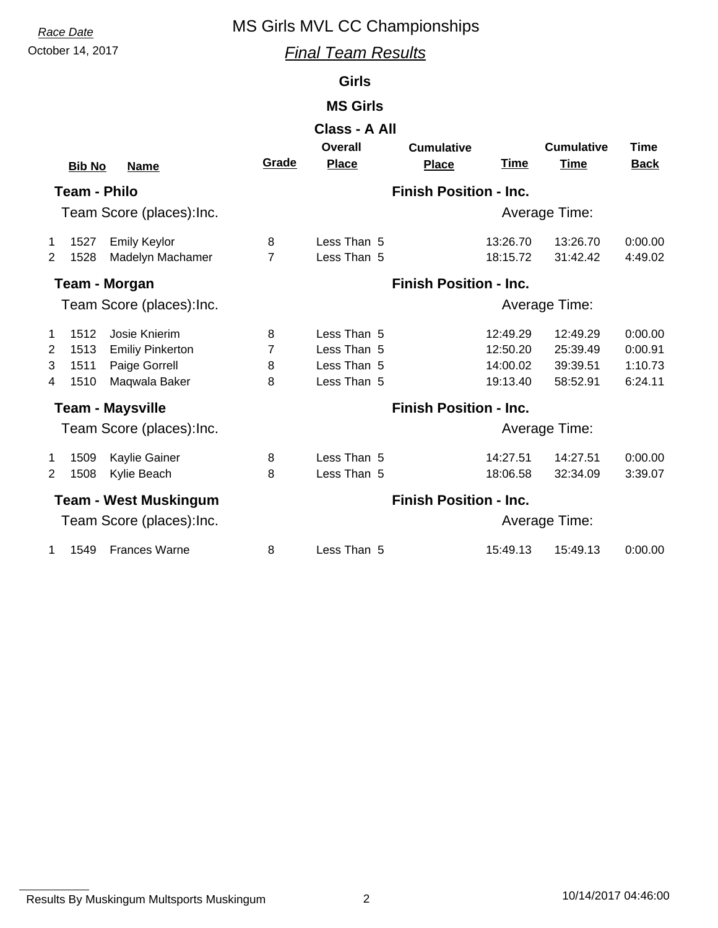## **Race Date** MS Girls MVL CC Championships

October 14, 2017 *Final Team Results*

## **Girls**

## **MS Girls**

|                           |                     |                              |                | Class - A All  |                               |             |                   |             |
|---------------------------|---------------------|------------------------------|----------------|----------------|-------------------------------|-------------|-------------------|-------------|
|                           |                     |                              |                | <b>Overall</b> | <b>Cumulative</b>             |             | <b>Cumulative</b> | Time        |
|                           | <b>Bib No</b>       | <b>Name</b>                  | Grade          | <b>Place</b>   | <b>Place</b>                  | <u>Time</u> | Time              | <b>Back</b> |
|                           | <b>Team - Philo</b> |                              |                |                | <b>Finish Position - Inc.</b> |             |                   |             |
|                           |                     | Team Score (places): Inc.    |                |                |                               |             | Average Time:     |             |
| 1                         | 1527                | <b>Emily Keylor</b>          | 8              | Less Than 5    |                               | 13:26.70    | 13:26.70          | 0:00.00     |
| $\overline{2}$            | 1528                | Madelyn Machamer             | $\overline{7}$ | Less Than 5    |                               | 18:15.72    | 31:42.42          | 4:49.02     |
|                           |                     | <b>Team - Morgan</b>         |                |                | <b>Finish Position - Inc.</b> |             |                   |             |
| Team Score (places): Inc. |                     |                              |                |                |                               |             | Average Time:     |             |
| 1                         | 1512                | Josie Knierim                | 8              | Less Than 5    |                               | 12:49.29    | 12:49.29          | 0:00.00     |
| $\overline{2}$            | 1513                | <b>Emiliy Pinkerton</b>      | $\overline{7}$ | Less Than 5    |                               | 12:50.20    | 25:39.49          | 0:00.91     |
| 3                         | 1511                | Paige Gorrell                | 8              | Less Than 5    |                               | 14:00.02    | 39:39.51          | 1:10.73     |
| 4                         | 1510                | Maqwala Baker                | 8              | Less Than 5    |                               | 19:13.40    | 58:52.91          | 6:24.11     |
|                           |                     | <b>Team - Maysville</b>      |                |                | <b>Finish Position - Inc.</b> |             |                   |             |
| Team Score (places): Inc. |                     |                              |                |                |                               |             | Average Time:     |             |
| 1                         | 1509                | Kaylie Gainer                | 8              | Less Than 5    |                               | 14:27.51    | 14:27.51          | 0:00.00     |
| $\overline{2}$            | 1508                | Kylie Beach                  | 8              | Less Than 5    |                               | 18:06.58    | 32:34.09          | 3:39.07     |
|                           |                     | <b>Team - West Muskingum</b> |                |                | <b>Finish Position - Inc.</b> |             |                   |             |
| Team Score (places): Inc. |                     |                              |                |                | Average Time:                 |             |                   |             |
| 1                         | 1549                | <b>Frances Warne</b>         | 8              | Less Than 5    |                               | 15:49.13    | 15:49.13          | 0:00.00     |